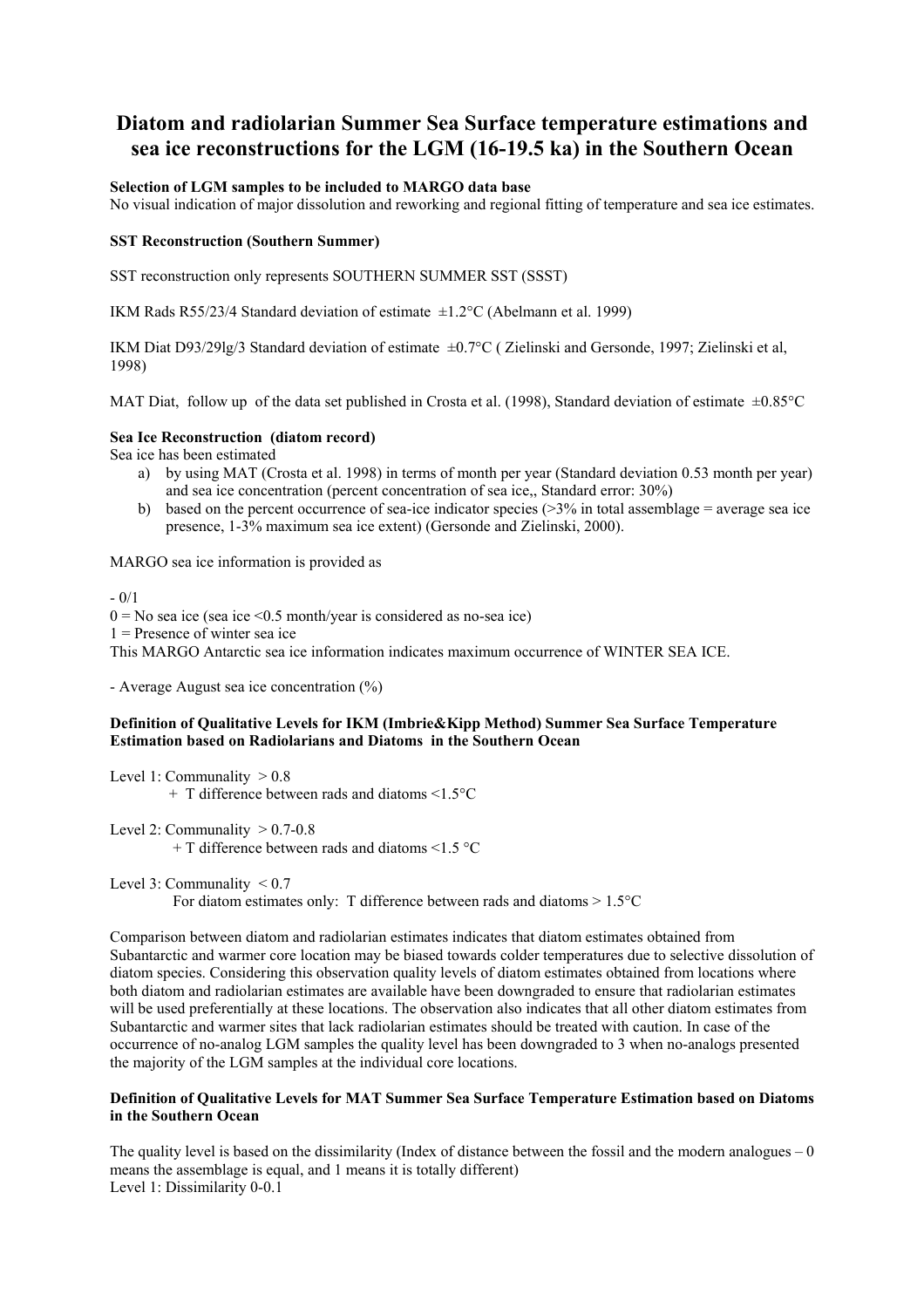# **Diatom and radiolarian Summer Sea Surface temperature estimations and sea ice reconstructions for the LGM (16-19.5 ka) in the Southern Ocean**

# **Selection of LGM samples to be included to MARGO data base**

No visual indication of major dissolution and reworking and regional fitting of temperature and sea ice estimates.

#### **SST Reconstruction (Southern Summer)**

SST reconstruction only represents SOUTHERN SUMMER SST (SSST)

IKM Rads R55/23/4 Standard deviation of estimate  $\pm 1.2$ °C (Abelmann et al. 1999)

IKM Diat D93/29lg/3 Standard deviation of estimate ±0.7°C ( Zielinski and Gersonde, 1997; Zielinski et al, 1998)

MAT Diat, follow up of the data set published in Crosta et al. (1998), Standard deviation of estimate  $\pm 0.85^{\circ}$ C

### **Sea Ice Reconstruction (diatom record)**

Sea ice has been estimated

- a) by using MAT (Crosta et al. 1998) in terms of month per year (Standard deviation 0.53 month per year) and sea ice concentration (percent concentration of sea ice,, Standard error: 30%)
- b) based on the percent occurrence of sea-ice indicator species ( $>3\%$  in total assemblage = average sea ice presence, 1-3% maximum sea ice extent) (Gersonde and Zielinski, 2000).

MARGO sea ice information is provided as

 $- 0/1$  $0 = No$  sea ice (sea ice <0.5 month/year is considered as no-sea ice)  $1 =$ Presence of winter sea ice This MARGO Antarctic sea ice information indicates maximum occurrence of WINTER SEA ICE.

- Average August sea ice concentration (%)

# **Definition of Qualitative Levels for IKM (Imbrie&Kipp Method) Summer Sea Surface Temperature Estimation based on Radiolarians and Diatoms in the Southern Ocean**

Level 1: Communality  $> 0.8$  $+$  T difference between rads and diatoms  $\leq 1.5$ °C

Level 2: Communality  $> 0.7-0.8$ + T difference between rads and diatoms <1.5 °C

Level 3: Communality  $\leq 0.7$ 

For diatom estimates only: T difference between rads and diatoms  $> 1.5$ °C

Comparison between diatom and radiolarian estimates indicates that diatom estimates obtained from Subantarctic and warmer core location may be biased towards colder temperatures due to selective dissolution of diatom species. Considering this observation quality levels of diatom estimates obtained from locations where both diatom and radiolarian estimates are available have been downgraded to ensure that radiolarian estimates will be used preferentially at these locations. The observation also indicates that all other diatom estimates from Subantarctic and warmer sites that lack radiolarian estimates should be treated with caution. In case of the occurrence of no-analog LGM samples the quality level has been downgraded to 3 when no-analogs presented the majority of the LGM samples at the individual core locations.

# **Definition of Qualitative Levels for MAT Summer Sea Surface Temperature Estimation based on Diatoms in the Southern Ocean**

The quality level is based on the dissimilarity (Index of distance between the fossil and the modern analogues  $-0$ means the assemblage is equal, and 1 means it is totally different) Level 1: Dissimilarity 0-0.1